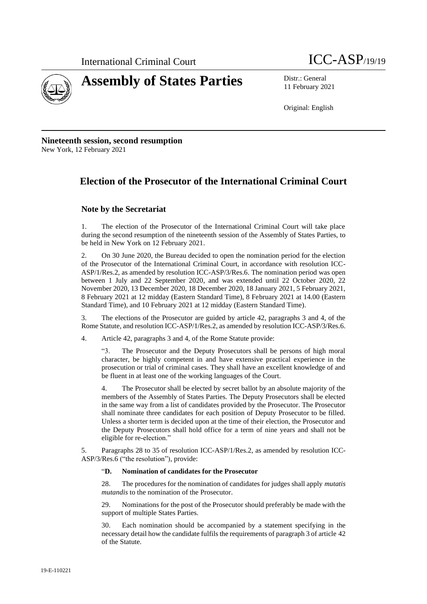



11 February 2021

Original: English

**Nineteenth session, second resumption** New York, 12 February 2021

### **Election of the Prosecutor of the International Criminal Court**

#### **Note by the Secretariat**

1. The election of the Prosecutor of the International Criminal Court will take place during the second resumption of the nineteenth session of the Assembly of States Parties, to be held in New York on 12 February 2021.

2. On 30 June 2020, the Bureau decided to open the nomination period for the election of the Prosecutor of the International Criminal Court, in accordance with resolution ICC-ASP/1/Res.2, as amended by resolution ICC-ASP/3/Res.6. The nomination period was open between 1 July and 22 September 2020, and was extended until 22 October 2020, 22 November 2020, 13 December 2020, 18 December 2020, 18 January 2021, 5 February 2021, 8 February 2021 at 12 midday (Eastern Standard Time), 8 February 2021 at 14.00 (Eastern Standard Time), and 10 February 2021 at 12 midday (Eastern Standard Time).

3. The elections of the Prosecutor are guided by article 42, paragraphs 3 and 4, of the Rome Statute, and resolution ICC-ASP/1/Res.2, as amended by resolution ICC-ASP/3/Res.6.

4. Article 42, paragraphs 3 and 4, of the Rome Statute provide:

"3. The Prosecutor and the Deputy Prosecutors shall be persons of high moral character, be highly competent in and have extensive practical experience in the prosecution or trial of criminal cases. They shall have an excellent knowledge of and be fluent in at least one of the working languages of the Court.

4. The Prosecutor shall be elected by secret ballot by an absolute majority of the members of the Assembly of States Parties. The Deputy Prosecutors shall be elected in the same way from a list of candidates provided by the Prosecutor. The Prosecutor shall nominate three candidates for each position of Deputy Prosecutor to be filled. Unless a shorter term is decided upon at the time of their election, the Prosecutor and the Deputy Prosecutors shall hold office for a term of nine years and shall not be eligible for re-election."

5. Paragraphs 28 to 35 of resolution ICC-ASP/1/Res.2, as amended by resolution ICC-ASP/3/Res.6 ("the resolution"), provide:

#### "**D. Nomination of candidates for the Prosecutor**

28. The procedures for the nomination of candidates for judges shall apply *mutatis mutandis* to the nomination of the Prosecutor.

29. Nominations for the post of the Prosecutor should preferably be made with the support of multiple States Parties.

Each nomination should be accompanied by a statement specifying in the necessary detail how the candidate fulfils the requirements of paragraph 3 of article 42 of the Statute.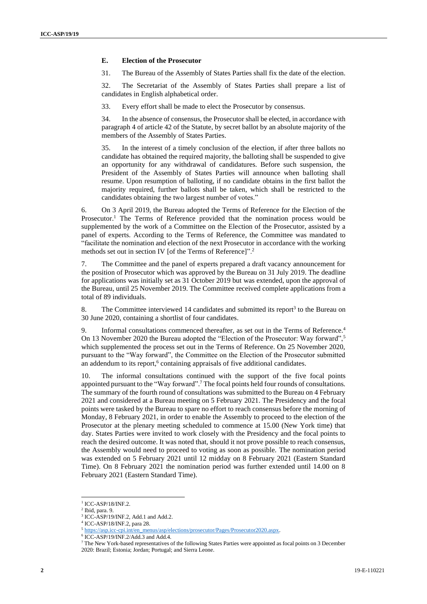#### **E. Election of the Prosecutor**

31. The Bureau of the Assembly of States Parties shall fix the date of the election.

32. The Secretariat of the Assembly of States Parties shall prepare a list of candidates in English alphabetical order.

33. Every effort shall be made to elect the Prosecutor by consensus.

34. In the absence of consensus, the Prosecutor shall be elected, in accordance with paragraph 4 of article 42 of the Statute, by secret ballot by an absolute majority of the members of the Assembly of States Parties.

35. In the interest of a timely conclusion of the election, if after three ballots no candidate has obtained the required majority, the balloting shall be suspended to give an opportunity for any withdrawal of candidatures. Before such suspension, the President of the Assembly of States Parties will announce when balloting shall resume. Upon resumption of balloting, if no candidate obtains in the first ballot the majority required, further ballots shall be taken, which shall be restricted to the candidates obtaining the two largest number of votes."

6. On 3 April 2019, the Bureau adopted the Terms of Reference for the Election of the Prosecutor.<sup>1</sup> The Terms of Reference provided that the nomination process would be supplemented by the work of a Committee on the Election of the Prosecutor, assisted by a panel of experts. According to the Terms of Reference, the Committee was mandated to "facilitate the nomination and election of the next Prosecutor in accordance with the working methods set out in section IV [of the Terms of Reference]".<sup>2</sup>

7. The Committee and the panel of experts prepared a draft vacancy announcement for the position of Prosecutor which was approved by the Bureau on 31 July 2019. The deadline for applications was initially set as 31 October 2019 but was extended, upon the approval of the Bureau, until 25 November 2019. The Committee received complete applications from a total of 89 individuals.

8. The Committee interviewed 14 candidates and submitted its report<sup>3</sup> to the Bureau on 30 June 2020, containing a shortlist of four candidates.

9. Informal consultations commenced thereafter, as set out in the Terms of Reference.<sup>4</sup> On 13 November 2020 the Bureau adopted the "Election of the Prosecutor: Way forward",<sup>5</sup> which supplemented the process set out in the Terms of Reference. On 25 November 2020, pursuant to the "Way forward", the Committee on the Election of the Prosecutor submitted an addendum to its report,<sup>6</sup> containing appraisals of five additional candidates.

10. The informal consultations continued with the support of the five focal points appointed pursuant to the "Way forward".<sup>7</sup> The focal points held four rounds of consultations. The summary of the fourth round of consultations was submitted to the Bureau on 4 February 2021 and considered at a Bureau meeting on 5 February 2021. The Presidency and the focal points were tasked by the Bureau to spare no effort to reach consensus before the morning of Monday, 8 February 2021, in order to enable the Assembly to proceed to the election of the Prosecutor at the plenary meeting scheduled to commence at 15.00 (New York time) that day. States Parties were invited to work closely with the Presidency and the focal points to reach the desired outcome. It was noted that, should it not prove possible to reach consensus, the Assembly would need to proceed to voting as soon as possible. The nomination period was extended on 5 February 2021 until 12 midday on 8 February 2021 (Eastern Standard Time). On 8 February 2021 the nomination period was further extended until 14.00 on 8 February 2021 (Eastern Standard Time).

<sup>&</sup>lt;sup>1</sup> ICC-ASP/18/INF.2.

<sup>2</sup> Ibid, para. 9.

<sup>&</sup>lt;sup>3</sup> ICC-ASP/19/INF.2, Add.1 and Add.2.

<sup>4</sup> ICC-ASP/18/INF.2, para 28.

<sup>5</sup> [https://asp.icc-cpi.int/en\\_menus/asp/elections/prosecutor/Pages/Prosecutor2020.aspx.](https://asp.icc-cpi.int/en_menus/asp/elections/prosecutor/Pages/Prosecutor2020.aspx)

<sup>6</sup> ICC-ASP/19/INF.2/Add.3 and Add.4.

<sup>7</sup> The New York-based representatives of the following States Parties were appointed as focal points on 3 December 2020: Brazil; Estonia; Jordan; Portugal; and Sierra Leone.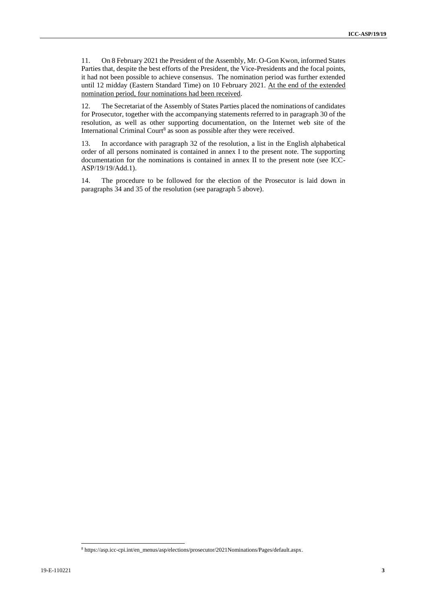11. On 8 February 2021 the President of the Assembly, Mr. O-Gon Kwon, informed States Parties that, despite the best efforts of the President, the Vice-Presidents and the focal points, it had not been possible to achieve consensus. The nomination period was further extended until 12 midday (Eastern Standard Time) on 10 February 2021. At the end of the extended nomination period, four nominations had been received.

12. The Secretariat of the Assembly of States Parties placed the nominations of candidates for Prosecutor, together with the accompanying statements referred to in paragraph 30 of the resolution, as well as other supporting documentation, on the Internet web site of the International Criminal Court<sup>8</sup> as soon as possible after they were received.

13. In accordance with paragraph 32 of the resolution, a list in the English alphabetical order of all persons nominated is contained in annex I to the present note. The supporting documentation for the nominations is contained in annex II to the present note (see ICC-ASP/19/19/Add.1).

14. The procedure to be followed for the election of the Prosecutor is laid down in paragraphs 34 and 35 of the resolution (see paragraph 5 above).

<sup>8</sup> https://asp.icc-cpi.int/en\_menus/asp/elections/prosecutor/2021Nominations/Pages/default.aspx.